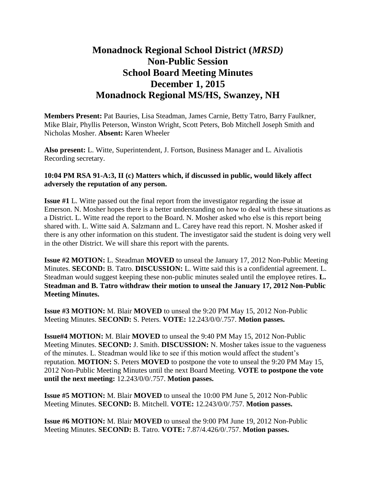## **Monadnock Regional School District (***MRSD)* **Non-Public Session School Board Meeting Minutes December 1, 2015 Monadnock Regional MS/HS, Swanzey, NH**

**Members Present:** Pat Bauries, Lisa Steadman, James Carnie, Betty Tatro, Barry Faulkner, Mike Blair, Phyllis Peterson, Winston Wright, Scott Peters, Bob Mitchell Joseph Smith and Nicholas Mosher. **Absent:** Karen Wheeler

**Also present:** L. Witte, Superintendent, J. Fortson, Business Manager and L. Aivaliotis Recording secretary.

## **10:04 PM RSA 91-A:3, II (c) Matters which, if discussed in public, would likely affect adversely the reputation of any person.**

**Issue #1** L. Witte passed out the final report from the investigator regarding the issue at Emerson. N. Mosher hopes there is a better understanding on how to deal with these situations as a District. L. Witte read the report to the Board. N. Mosher asked who else is this report being shared with. L. Witte said A. Salzmann and L. Carey have read this report. N. Mosher asked if there is any other information on this student. The investigator said the student is doing very well in the other District. We will share this report with the parents.

**Issue #2 MOTION:** L. Steadman **MOVED** to unseal the January 17, 2012 Non-Public Meeting Minutes. **SECOND:** B. Tatro. **DISCUSSION:** L. Witte said this is a confidential agreement. L. Steadman would suggest keeping these non-public minutes sealed until the employee retires. **L. Steadman and B. Tatro withdraw their motion to unseal the January 17, 2012 Non-Public Meeting Minutes.** 

**Issue #3 MOTION:** M. Blair **MOVED** to unseal the 9:20 PM May 15, 2012 Non-Public Meeting Minutes. **SECOND:** S. Peters. **VOTE:** 12.243/0/0/.757. **Motion passes.** 

**Issue#4 MOTION:** M. Blair **MOVED** to unseal the 9:40 PM May 15, 2012 Non-Public Meeting Minutes. **SECOND:** J. Smith. **DISCUSSION:** N. Mosher takes issue to the vagueness of the minutes. L. Steadman would like to see if this motion would affect the student's reputation. **MOTION:** S. Peters **MOVED** to postpone the vote to unseal the 9:20 PM May 15, 2012 Non-Public Meeting Minutes until the next Board Meeting. **VOTE to postpone the vote until the next meeting:** 12.243/0/0/.757. **Motion passes.**

**Issue #5 MOTION:** M. Blair **MOVED** to unseal the 10:00 PM June 5, 2012 Non-Public Meeting Minutes. **SECOND:** B. Mitchell. **VOTE:** 12.243/0/0/.757. **Motion passes.** 

**Issue #6 MOTION:** M. Blair **MOVED** to unseal the 9:00 PM June 19, 2012 Non-Public Meeting Minutes. **SECOND:** B. Tatro. **VOTE:** 7.87/4.426/0/.757. **Motion passes.**